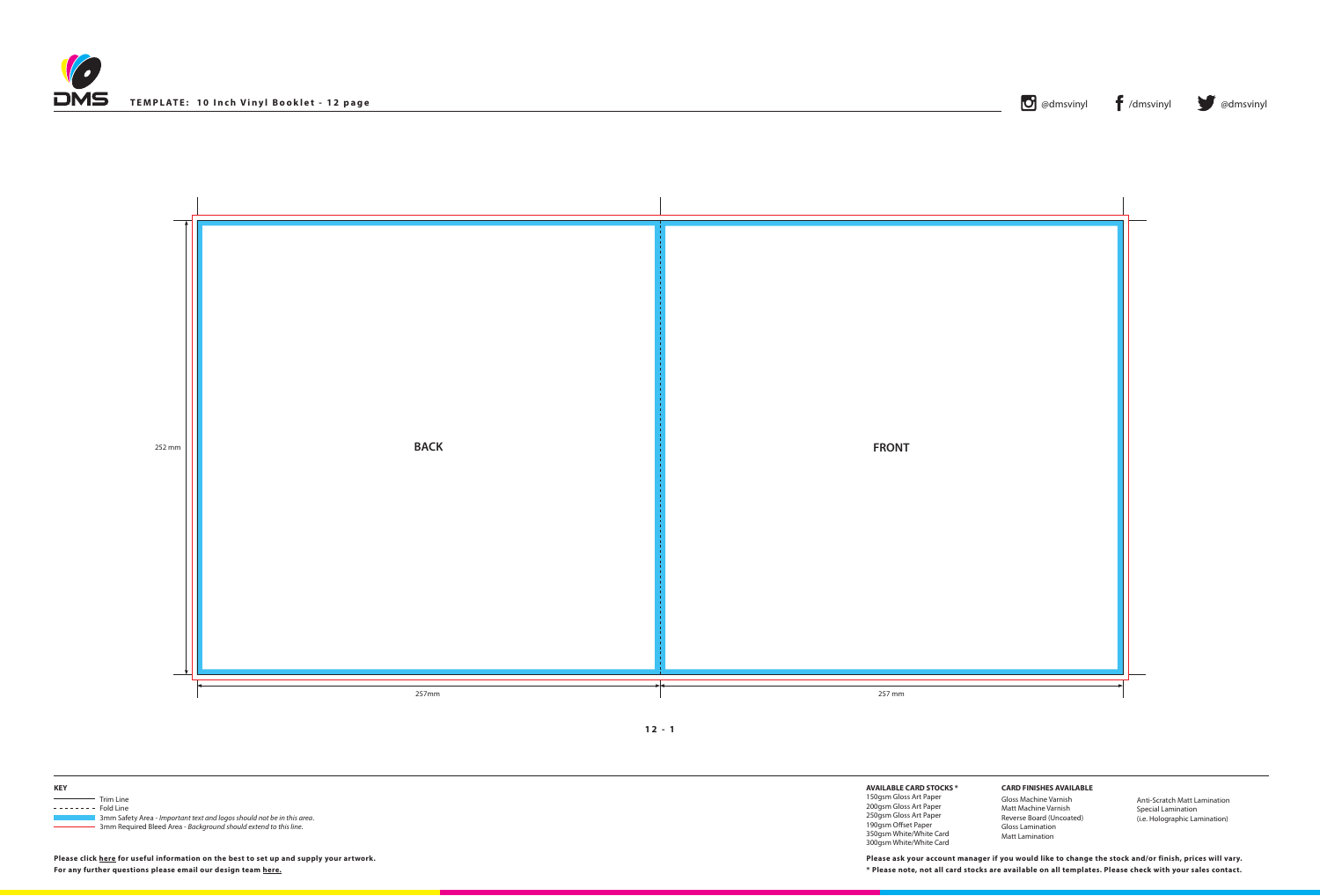

**12 - 1**





**Please click [here](http://www.discmanufacturingservices.com/vinyl-templates.htm#artwork-specifications) for useful information on the best to set up and supply your artwork.**



**AVAILABLE CARD STOCKS \***

150gsm Gloss Art Paper 200gsm Gloss Art Paper 250gsm Gloss Art Paper 190gsm Offset Paper 350gsm White/White Card 300gsm White/White Card

**For any further questions please email our design team [here](mailto:graphics%40discmanufacturingservices.com?subject=Template%20Enquiry). \* Please note, not all card stocks are available on all templates. Please check with your sales contact. Please ask your account manager if you would like to change the stock and/or finish, prices will vary.**



**CARD FINISHES AVAILABLE**

Gloss Machine Varnish Matt Machine Varnish Reverse Board (Uncoated) Gloss Lamination Matt Lamination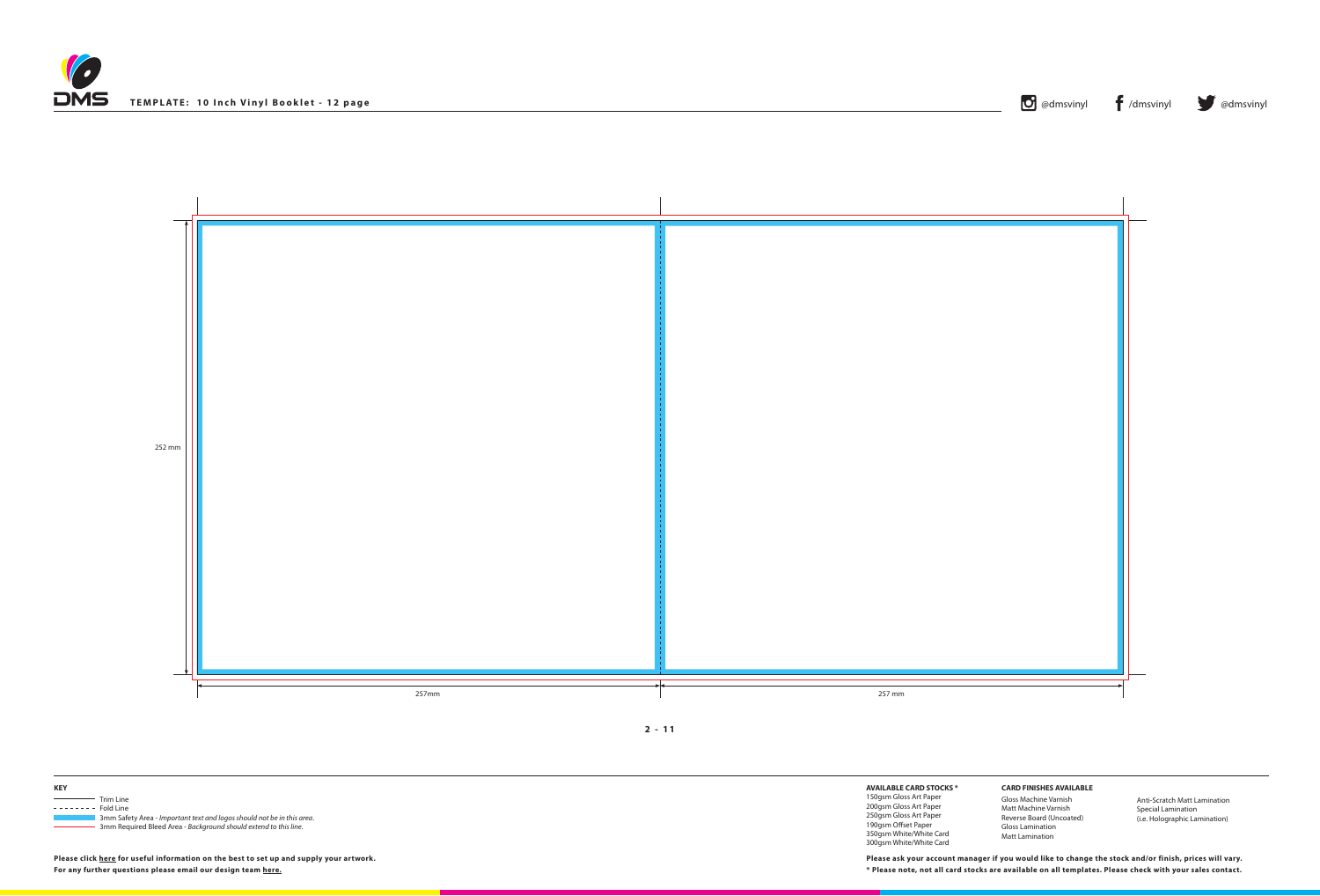





| <b>KEY</b> |                                                                                     |
|------------|-------------------------------------------------------------------------------------|
|            | Trim Line                                                                           |
| ------     | Fold Line<br>3mm Safety Area - Important text and logos should not be in this area. |
|            | 3mm Required Bleed Area - Background should extend to this line.                    |

| 711 |  |
|-----|--|
|     |  |

**AVAILABLE CARD STOCKS \*** 150gsm Gloss Art Paper 200gsm Gloss Art Paper 250gsm Gloss Art Paper 190gsm Offset Paper 350gsm White/White Card 300gsm White/White Card

**For any further questions please email our design team [here](mailto:graphics%40discmanufacturingservices.com?subject=Template%20Enquiry). \* Please note, not all card stocks are available on all templates. Please check with your sales contact. Please ask your account manager if you would like to change the stock and/or finish, prices will vary.**



**CARD FINISHES AVAILABLE**

Gloss Machine Varnish Matt Machine Varnish Reverse Board (Uncoated) Gloss Lamination Matt Lamination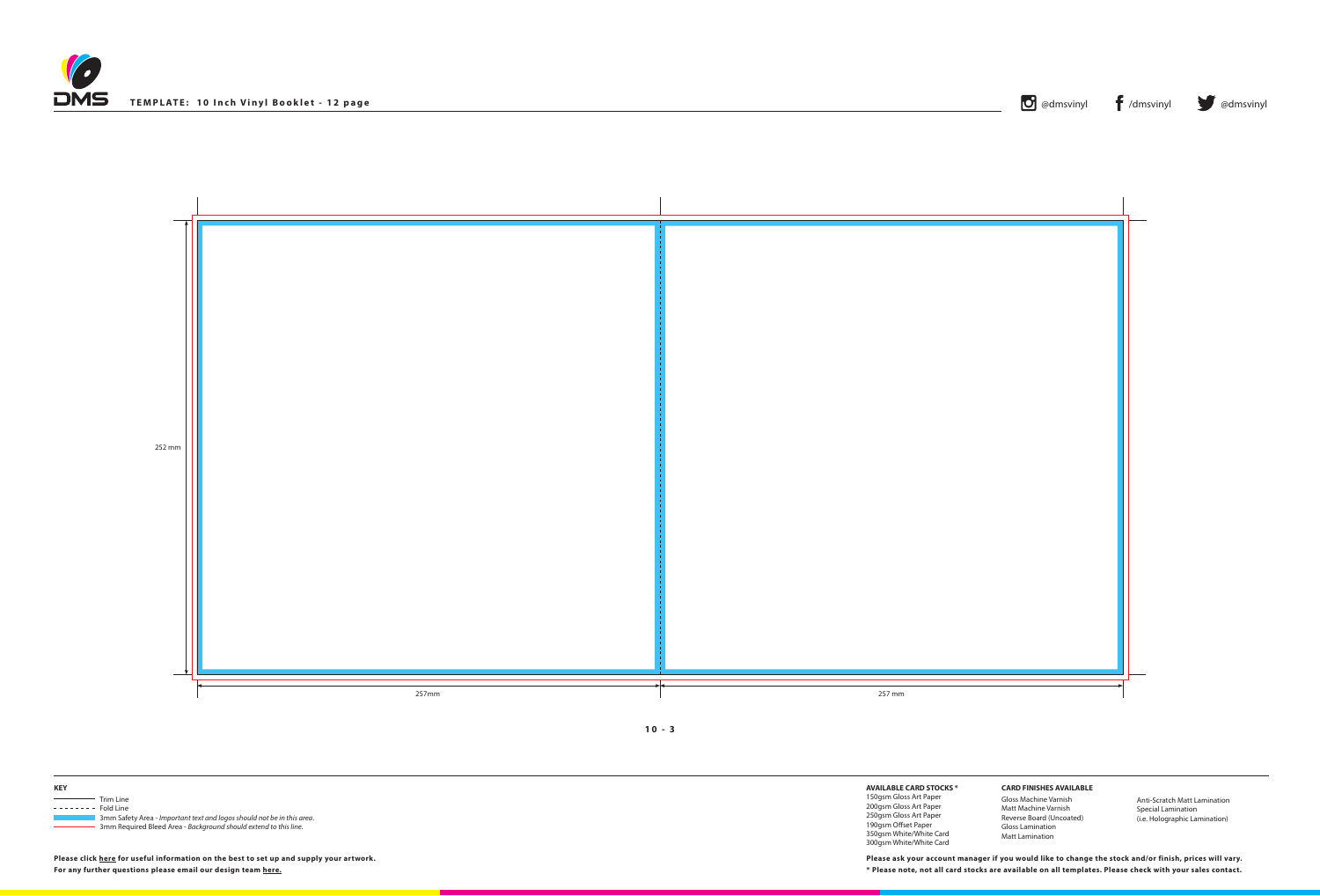





| <b>KEY</b> |                                                                                     |
|------------|-------------------------------------------------------------------------------------|
|            | Trim Line                                                                           |
| ------     | Fold Line<br>3mm Safety Area - Important text and logos should not be in this area. |
|            | 3mm Required Bleed Area - Background should extend to this line.                    |

**AVAILABLE CARD STOCKS \*** 150gsm Gloss Art Paper 200gsm Gloss Art Paper

250gsm Gloss Art Paper 190gsm Offset Paper

350gsm White/White Card 300gsm White/White Card

**For any further questions please email our design team [here](mailto:graphics%40discmanufacturingservices.com?subject=Template%20Enquiry). \* Please note, not all card stocks are available on all templates. Please check with your sales contact. Please ask your account manager if you would like to change the stock and/or finish, prices will vary.**



## **CARD FINISHES AVAILABLE**

Gloss Machine Varnish Matt Machine Varnish Reverse Board (Uncoated) Gloss Lamination Matt Lamination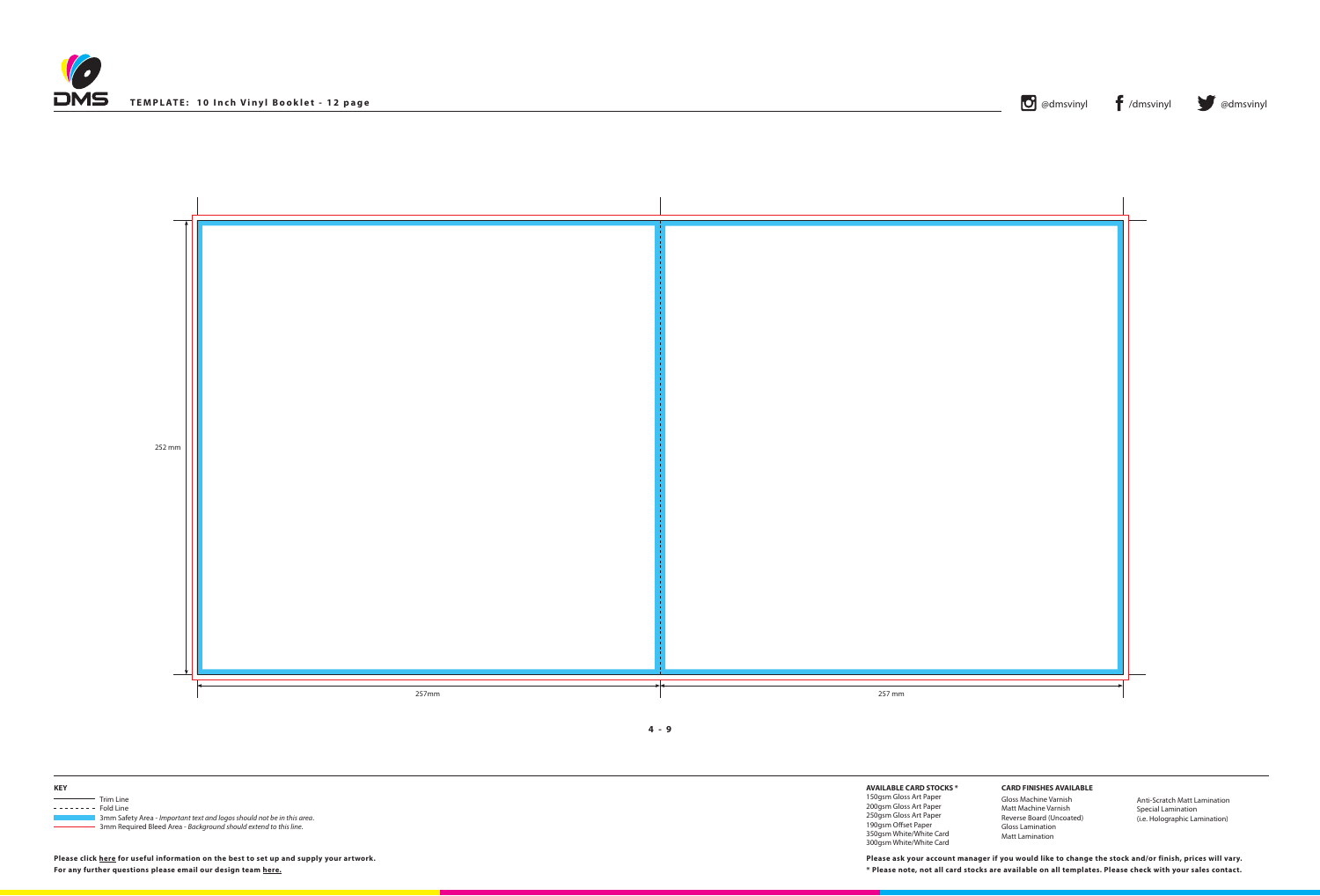





| <b>KEY</b> |                                                                                     |
|------------|-------------------------------------------------------------------------------------|
|            | Trim Line                                                                           |
| ------     | Fold Line<br>3mm Safety Area - Important text and logos should not be in this area. |
|            | 3mm Required Bleed Area - Background should extend to this line.                    |

**AVAILABLE CARD STOCKS \***

150gsm Gloss Art Paper 200gsm Gloss Art Paper 250gsm Gloss Art Paper 190gsm Offset Paper 350gsm White/White Card 300gsm White/White Card

**For any further questions please email our design team [here](mailto:graphics%40discmanufacturingservices.com?subject=Template%20Enquiry). \* Please note, not all card stocks are available on all templates. Please check with your sales contact. Please ask your account manager if you would like to change the stock and/or finish, prices will vary.**



**CARD FINISHES AVAILABLE**

Gloss Machine Varnish Matt Machine Varnish Reverse Board (Uncoated) Gloss Lamination Matt Lamination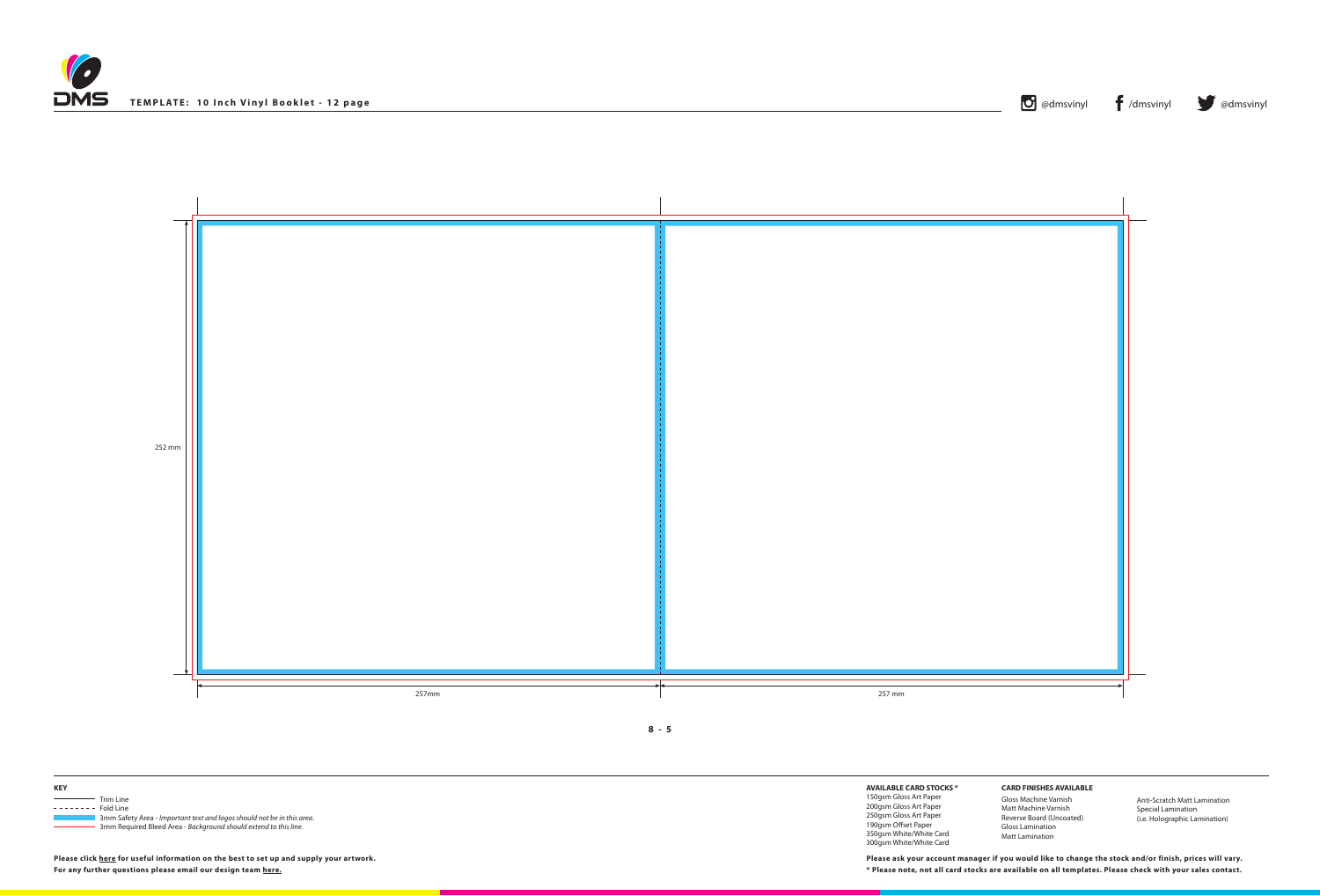





| <b>KEY</b> |                                                                        |
|------------|------------------------------------------------------------------------|
|            | Trim Line                                                              |
|            | Fold Line                                                              |
|            | 3mm Safety Area - Important text and logos should not be in this area. |
|            | 3mm Required Bleed Area - Background should extend to this line.       |

**AVAILABLE CARD STOCKS \***

150gsm Gloss Art Paper 200gsm Gloss Art Paper 250gsm Gloss Art Paper 190gsm Offset Paper 350gsm White/White Card 300gsm White/White Card

**For any further questions please email our design team [here](mailto:graphics%40discmanufacturingservices.com?subject=Template%20Enquiry). \* Please note, not all card stocks are available on all templates. Please check with your sales contact. Please ask your account manager if you would like to change the stock and/or finish, prices will vary.**



**CARD FINISHES AVAILABLE**

Gloss Machine Varnish Matt Machine Varnish Reverse Board (Uncoated) Gloss Lamination Matt Lamination